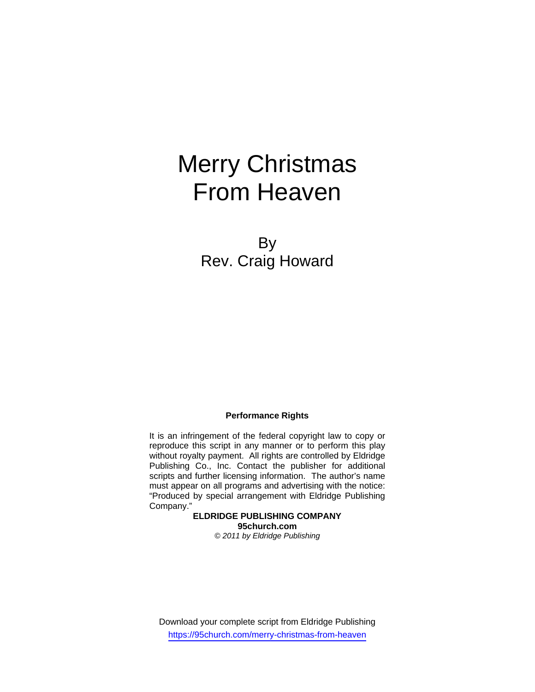# Merry Christmas From Heaven

By Rev. Craig Howard

## **Performance Rights**

It is an infringement of the federal copyright law to copy or reproduce this script in any manner or to perform this play without royalty payment. All rights are controlled by Eldridge Publishing Co., Inc. Contact the publisher for additional scripts and further licensing information. The author's name must appear on all programs and advertising with the notice: "Produced by special arrangement with Eldridge Publishing Company."

**ELDRIDGE PUBLISHING COMPANY 95church.com**  *© 2011 by Eldridge Publishing* 

Download your complete script from Eldridge Publishing https://95church.com/merry-christmas-from-heaven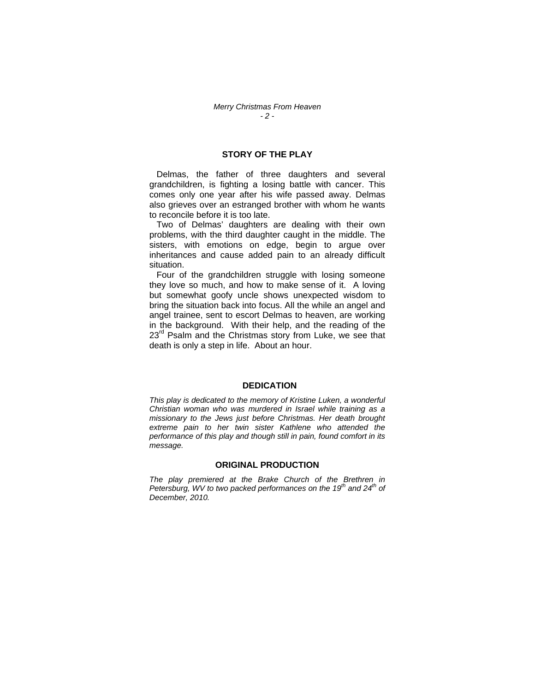## **STORY OF THE PLAY**

 Delmas, the father of three daughters and several grandchildren, is fighting a losing battle with cancer. This comes only one year after his wife passed away. Delmas also grieves over an estranged brother with whom he wants to reconcile before it is too late.

 Two of Delmas' daughters are dealing with their own problems, with the third daughter caught in the middle. The sisters, with emotions on edge, begin to argue over inheritances and cause added pain to an already difficult situation.

 Four of the grandchildren struggle with losing someone they love so much, and how to make sense of it. A loving but somewhat goofy uncle shows unexpected wisdom to bring the situation back into focus. All the while an angel and angel trainee, sent to escort Delmas to heaven, are working in the background. With their help, and the reading of the  $23<sup>rd</sup>$  Psalm and the Christmas story from Luke, we see that death is only a step in life. About an hour.

#### **DEDICATION**

*This play is dedicated to the memory of Kristine Luken, a wonderful Christian woman who was murdered in Israel while training as a missionary to the Jews just before Christmas. Her death brought extreme pain to her twin sister Kathlene who attended the performance of this play and though still in pain, found comfort in its message.* 

#### **ORIGINAL PRODUCTION**

*The play premiered at the Brake Church of the Brethren in Petersburg, WV to two packed performances on the 19<sup>th</sup> and 24<sup>th</sup> of December, 2010.*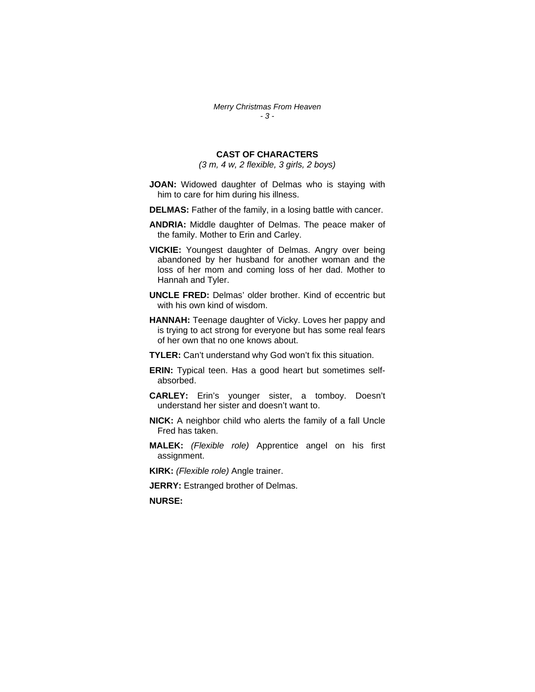## **CAST OF CHARACTERS**

*(3 m, 4 w, 2 flexible, 3 girls, 2 boys)* 

- **JOAN:** Widowed daughter of Delmas who is staying with him to care for him during his illness.
- **DELMAS:** Father of the family, in a losing battle with cancer.
- **ANDRIA:** Middle daughter of Delmas. The peace maker of the family. Mother to Erin and Carley.
- **VICKIE:** Youngest daughter of Delmas. Angry over being abandoned by her husband for another woman and the loss of her mom and coming loss of her dad. Mother to Hannah and Tyler.
- **UNCLE FRED:** Delmas' older brother. Kind of eccentric but with his own kind of wisdom.
- **HANNAH:** Teenage daughter of Vicky. Loves her pappy and is trying to act strong for everyone but has some real fears of her own that no one knows about.
- **TYLER:** Can't understand why God won't fix this situation.
- **ERIN:** Typical teen. Has a good heart but sometimes selfabsorbed.
- **CARLEY:** Erin's younger sister, a tomboy. Doesn't understand her sister and doesn't want to.
- **NICK:** A neighbor child who alerts the family of a fall Uncle Fred has taken.
- **MALEK:** *(Flexible role)* Apprentice angel on his first assignment.
- **KIRK:** *(Flexible role)* Angle trainer.

**JERRY: Estranged brother of Delmas.** 

**NURSE:**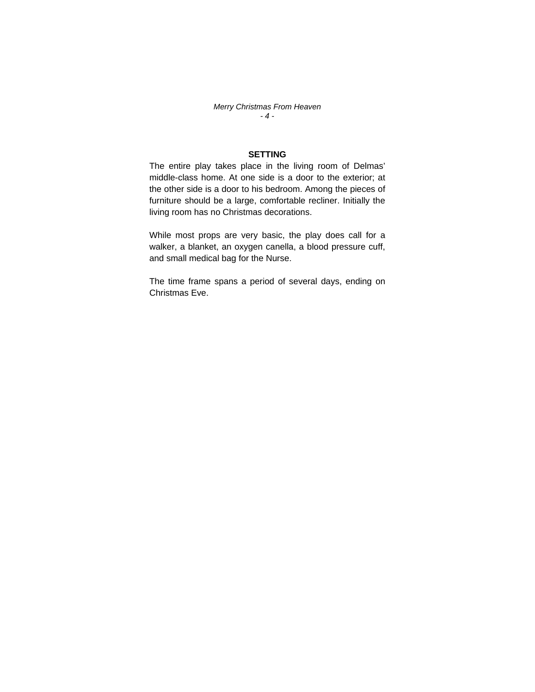*Merry Christmas From Heaven - 4 -* 

## **SETTING**

The entire play takes place in the living room of Delmas' middle-class home. At one side is a door to the exterior; at the other side is a door to his bedroom. Among the pieces of furniture should be a large, comfortable recliner. Initially the living room has no Christmas decorations.

While most props are very basic, the play does call for a walker, a blanket, an oxygen canella, a blood pressure cuff, and small medical bag for the Nurse.

The time frame spans a period of several days, ending on Christmas Eve.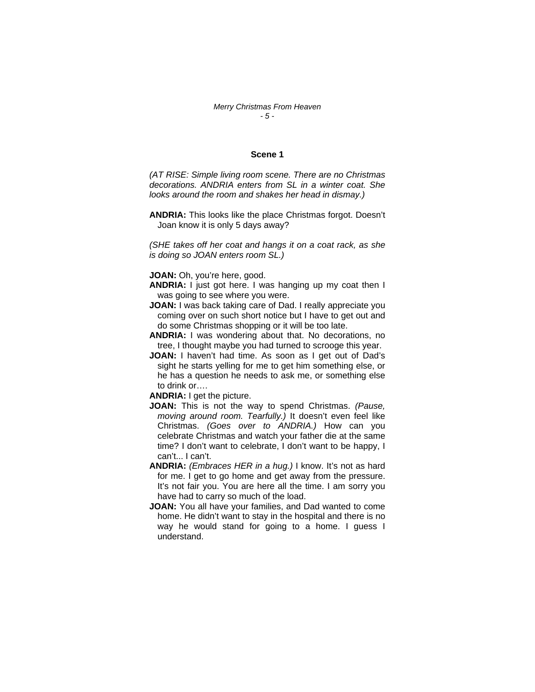#### *Merry Christmas From Heaven - 5 -*

#### **Scene 1**

*(AT RISE: Simple living room scene. There are no Christmas decorations. ANDRIA enters from SL in a winter coat. She looks around the room and shakes her head in dismay.)* 

**ANDRIA:** This looks like the place Christmas forgot. Doesn't Joan know it is only 5 days away?

*(SHE takes off her coat and hangs it on a coat rack, as she is doing so JOAN enters room SL.)* 

**JOAN:** Oh, you're here, good.

- **ANDRIA:** I just got here. I was hanging up my coat then I was going to see where you were.
- **JOAN:** I was back taking care of Dad. I really appreciate you coming over on such short notice but I have to get out and do some Christmas shopping or it will be too late.
- **ANDRIA:** I was wondering about that. No decorations, no tree, I thought maybe you had turned to scrooge this year.
- **JOAN:** I haven't had time. As soon as I get out of Dad's sight he starts yelling for me to get him something else, or he has a question he needs to ask me, or something else to drink or….

**ANDRIA:** I get the picture.

- **JOAN:** This is not the way to spend Christmas. *(Pause, moving around room. Tearfully.)* It doesn't even feel like Christmas. *(Goes over to ANDRIA.)* How can you celebrate Christmas and watch your father die at the same time? I don't want to celebrate, I don't want to be happy, I can't... I can't.
- **ANDRIA:** *(Embraces HER in a hug.)* I know. It's not as hard for me. I get to go home and get away from the pressure. It's not fair you. You are here all the time. I am sorry you have had to carry so much of the load.
- **JOAN:** You all have your families, and Dad wanted to come home. He didn't want to stay in the hospital and there is no way he would stand for going to a home. I guess I understand.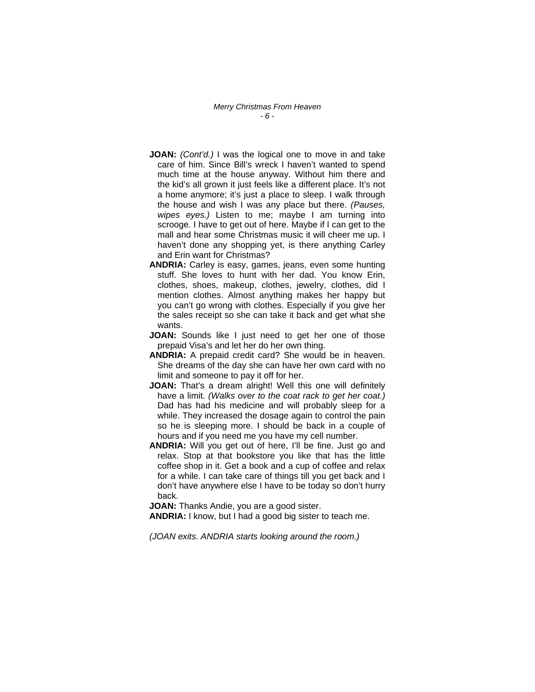*Merry Christmas From Heaven - 6 -* 

- **JOAN:** *(Cont'd.)* I was the logical one to move in and take care of him. Since Bill's wreck I haven't wanted to spend much time at the house anyway. Without him there and the kid's all grown it just feels like a different place. It's not a home anymore; it's just a place to sleep. I walk through the house and wish I was any place but there. *(Pauses, wipes eyes.)* Listen to me; maybe I am turning into scrooge. I have to get out of here. Maybe if I can get to the mall and hear some Christmas music it will cheer me up. I haven't done any shopping yet, is there anything Carley and Erin want for Christmas?
- **ANDRIA:** Carley is easy, games, jeans, even some hunting stuff. She loves to hunt with her dad. You know Erin, clothes, shoes, makeup, clothes, jewelry, clothes, did I mention clothes. Almost anything makes her happy but you can't go wrong with clothes. Especially if you give her the sales receipt so she can take it back and get what she wants.
- **JOAN:** Sounds like I just need to get her one of those prepaid Visa's and let her do her own thing.
- **ANDRIA:** A prepaid credit card? She would be in heaven. She dreams of the day she can have her own card with no limit and someone to pay it off for her.
- **JOAN:** That's a dream alright! Well this one will definitely have a limit. *(Walks over to the coat rack to get her coat.)*  Dad has had his medicine and will probably sleep for a while. They increased the dosage again to control the pain so he is sleeping more. I should be back in a couple of hours and if you need me you have my cell number.
- **ANDRIA:** Will you get out of here, I'll be fine. Just go and relax. Stop at that bookstore you like that has the little coffee shop in it. Get a book and a cup of coffee and relax for a while. I can take care of things till you get back and I don't have anywhere else I have to be today so don't hurry back.

**JOAN:** Thanks Andie, you are a good sister.

**ANDRIA:** I know, but I had a good big sister to teach me.

*(JOAN exits. ANDRIA starts looking around the room.)*